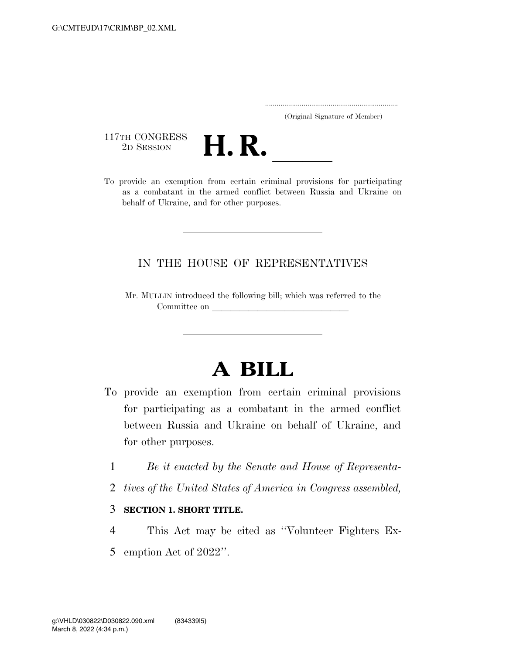|  | (Original Signature of Member) |  |
|--|--------------------------------|--|

117TH CONGRESS



To provide an exemption from certain criminal provisions for participating as a combatant in the armed conflict between Russia and Ukraine on behalf of Ukraine, and for other purposes.

## IN THE HOUSE OF REPRESENTATIVES

Mr. MULLIN introduced the following bill; which was referred to the Committee on

## **A BILL**

- To provide an exemption from certain criminal provisions for participating as a combatant in the armed conflict between Russia and Ukraine on behalf of Ukraine, and for other purposes.
	- 1 *Be it enacted by the Senate and House of Representa-*
	- 2 *tives of the United States of America in Congress assembled,*
	- 3 **SECTION 1. SHORT TITLE.**
	- 4 This Act may be cited as ''Volunteer Fighters Ex-5 emption Act of 2022''.